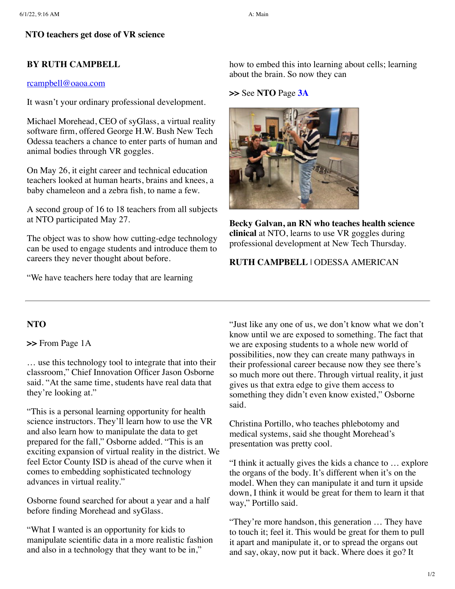# **NTO teachers get dose of VR science**

# **BY RUTH CAMPBELL**

## [rcampbell@oaoa.com](mailto:rcampbell@oaoa.com)

It wasn't your ordinary professional development.

Michael Morehead, CEO of syGlass, a virtual reality software firm, offered George H.W. Bush New Tech Odessa teachers a chance to enter parts of human and animal bodies through VR goggles.

On May 26, it eight career and technical education teachers looked at human hearts, brains and knees, a baby chameleon and a zebra fish, to name a few.

A second group of 16 to 18 teachers from all subjects at NTO participated May 27.

The object was to show how cutting-edge technology can be used to engage students and introduce them to careers they never thought about before.

"We have teachers here today that are learning

how to embed this into learning about cells; learning about the brain. So now they can

### **>>** See **NTO** Page **[3A](javascript:gotoPage("A","A03");)**



**Becky Galvan, an RN who teaches health science clinical** at NTO, learns to use VR goggles during professional development at New Tech Thursday.

# **RUTH CAMPBELL** | ODESSA AMERICAN

# **NTO**

**>>** From Page 1A

… use this technology tool to integrate that into their classroom," Chief Innovation Officer Jason Osborne said. "At the same time, students have real data that they're looking at."

"This is a personal learning opportunity for health science instructors. They'll learn how to use the VR and also learn how to manipulate the data to get prepared for the fall," Osborne added. "This is an exciting expansion of virtual reality in the district. We feel Ector County ISD is ahead of the curve when it comes to embedding sophisticated technology advances in virtual reality."

Osborne found searched for about a year and a half before finding Morehead and syGlass.

"What I wanted is an opportunity for kids to manipulate scientific data in a more realistic fashion and also in a technology that they want to be in,"

"Just like any one of us, we don't know what we don't know until we are exposed to something. The fact that we are exposing students to a whole new world of possibilities, now they can create many pathways in their professional career because now they see there's so much more out there. Through virtual reality, it just gives us that extra edge to give them access to something they didn't even know existed," Osborne said.

Christina Portillo, who teaches phlebotomy and medical systems, said she thought Morehead's presentation was pretty cool.

"I think it actually gives the kids a chance to … explore the organs of the body. It's different when it's on the model. When they can manipulate it and turn it upside down, I think it would be great for them to learn it that way," Portillo said.

"They're more handson, this generation … They have to touch it; feel it. This would be great for them to pull it apart and manipulate it, or to spread the organs out and say, okay, now put it back. Where does it go? It